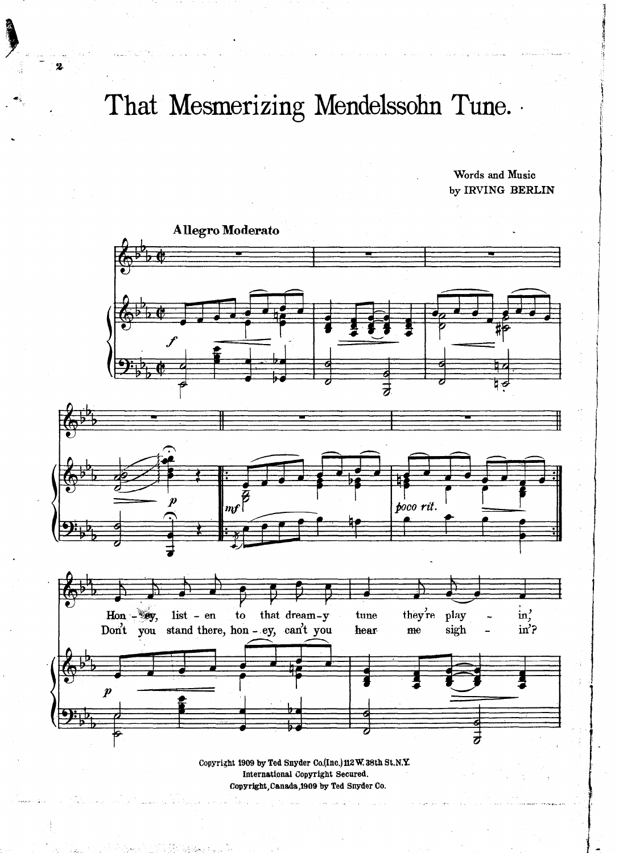## That Mesmerizing Mendelssohn Tune.

Words and Music by IRVING BERLIN



Copyright 1909 by Ted Snyder Co.(Inc.) 112 W. 38th St.N.Y. International Copyright Secured. Copyright, Canada, 1909 by Ted Snyder Co.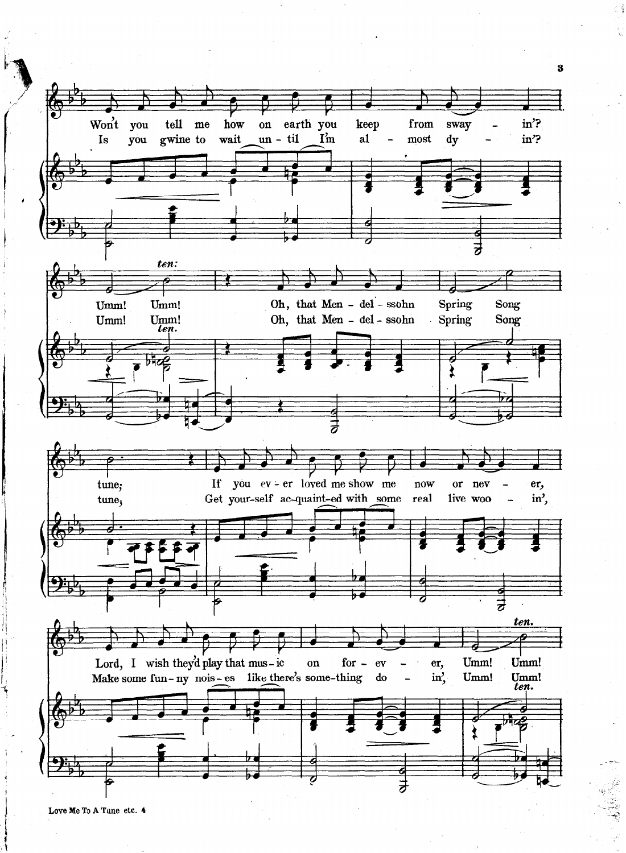

Love Me To A Tune etc. 4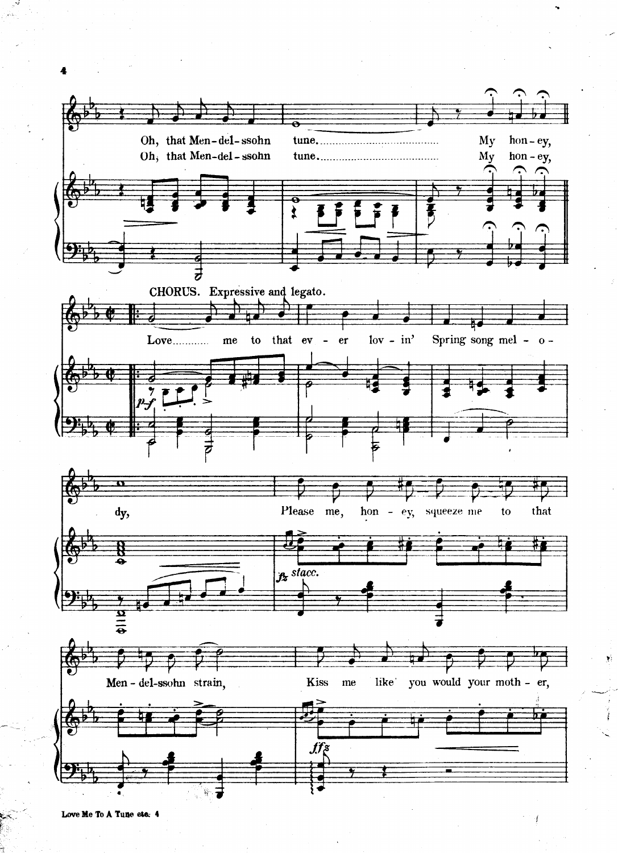